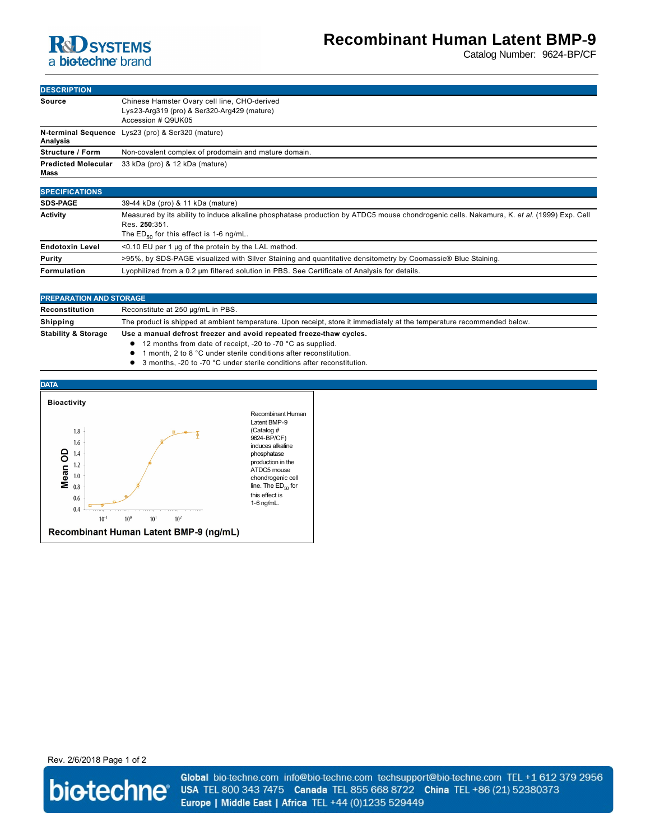## **R**d SYSTEMS a biotechne brand

# **Recombinant Human Latent BMP-9**

Catalog Number: 9624-BP/CF

| <b>DESCRIPTION</b>                 |                                                                                                                   |
|------------------------------------|-------------------------------------------------------------------------------------------------------------------|
| Source                             | Chinese Hamster Ovary cell line, CHO-derived<br>Lys23-Arg319 (pro) & Ser320-Arg429 (mature)<br>Accession # Q9UK05 |
| Analysis                           | N-terminal Sequence Lys23 (pro) & Ser320 (mature)                                                                 |
| <b>Structure / Form</b>            | Non-covalent complex of prodomain and mature domain.                                                              |
| <b>Predicted Molecular</b><br>Mass | 33 kDa (pro) & 12 kDa (mature)                                                                                    |
|                                    |                                                                                                                   |
| <b>SPECIFICATIONS</b>              |                                                                                                                   |
| <b>SDS-PAGE</b>                    | 39-44 kDa (pro) & 11 kDa (mature)                                                                                 |

| <b>Activity</b>        | Measured by its ability to induce alkaline phosphatase production by ATDC5 mouse chondrogenic cells. Nakamura, K. et al. (1999) Exp. Cell |
|------------------------|-------------------------------------------------------------------------------------------------------------------------------------------|
|                        | Res. 250:351.                                                                                                                             |
|                        | The $ED_{50}$ for this effect is 1-6 ng/mL.                                                                                               |
| <b>Endotoxin Level</b> | <0.10 EU per 1 µg of the protein by the LAL method.                                                                                       |
| Purity                 | >95%, by SDS-PAGE visualized with Silver Staining and quantitative densitometry by Coomassie® Blue Staining.                              |
| Formulation            | Lyophilized from a 0.2 um filtered solution in PBS. See Certificate of Analysis for details.                                              |

| <b>PREPARATION AND STORAGE</b> |                                                                                                                         |
|--------------------------------|-------------------------------------------------------------------------------------------------------------------------|
| Reconstitution                 | Reconstitute at 250 µg/mL in PBS.                                                                                       |
| Shipping                       | The product is shipped at ambient temperature. Upon receipt, store it immediately at the temperature recommended below. |
| <b>Stability &amp; Storage</b> | Use a manual defrost freezer and avoid repeated freeze-thaw cycles.                                                     |
|                                | • 12 months from date of receipt, -20 to -70 °C as supplied.                                                            |
|                                | A Accordio A to A O Accordio a tradicional distance of the according to a                                               |

- 1 month, 2 to 8 °C under sterile conditions after reconstitution.
- **1** 3 months, -20 to -70 °C under sterile conditions after reconstitution.



production in the chondrogenic cell line. The  $ED_{50}$  for

Rev. 2/6/2018 Page 1 of 2



Global bio-techne.com info@bio-techne.com techsupport@bio-techne.com TEL +1 612 379 2956 USA TEL 800 343 7475 Canada TEL 855 668 8722 China TEL +86 (21) 52380373 Europe | Middle East | Africa TEL +44 (0)1235 529449